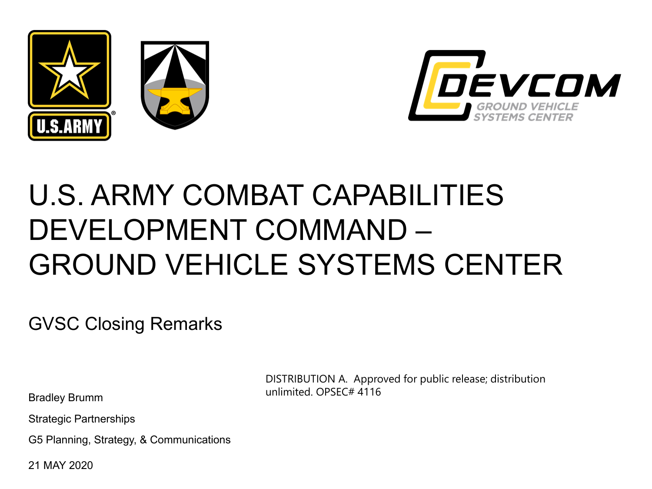



## U.S. ARMY COMBAT CAPABILITIES DEVELOPMENT COMMAND – GROUND VEHICLE SYSTEMS CENTER

GVSC Closing Remarks

Bradley Brumm

Strategic Partnerships

G5 Planning, Strategy, & Communications

21 MAY 2020

DISTRIBUTION A. Approved for public release; distribution unlimited. OPSEC# 4116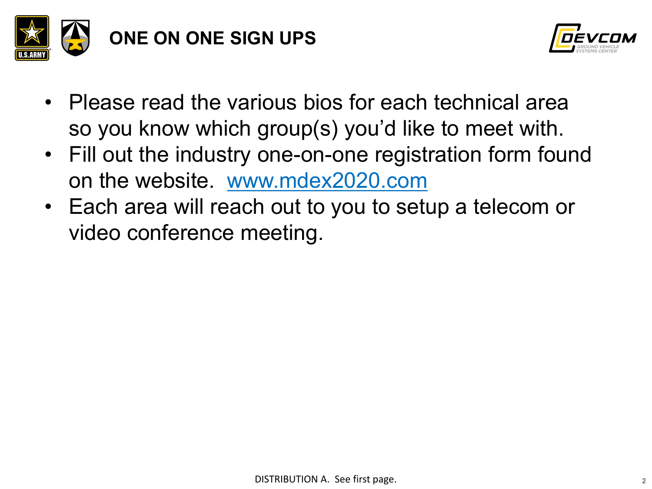



- Please read the various bios for each technical area so you know which group(s) you'd like to meet with.
- Fill out the industry one-on-one registration form found on the website. [www.mdex2020.com](http://www.mdex2020.com/)
- Each area will reach out to you to setup a telecom or video conference meeting.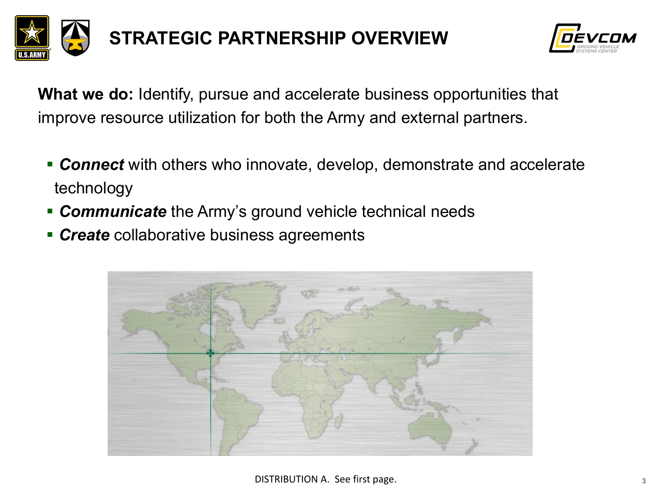



**What we do:** Identify, pursue and accelerate business opportunities that improve resource utilization for both the Army and external partners.

- *Connect* with others who innovate, develop, demonstrate and accelerate technology
- **Communicate** the Army's ground vehicle technical needs
- **Create** collaborative business agreements

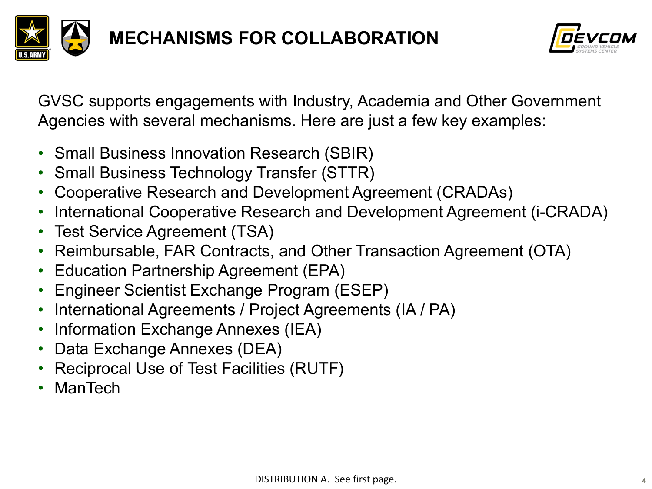



GVSC supports engagements with Industry, Academia and Other Government Agencies with several mechanisms. Here are just a few key examples:

- Small Business Innovation Research (SBIR)
- Small Business Technology Transfer (STTR)
- Cooperative Research and Development Agreement (CRADAs)
- International Cooperative Research and Development Agreement (i-CRADA)
- Test Service Agreement (TSA)
- Reimbursable, FAR Contracts, and Other Transaction Agreement (OTA)
- Education Partnership Agreement (EPA)
- Engineer Scientist Exchange Program (ESEP)
- International Agreements / Project Agreements (IA / PA)
- Information Exchange Annexes (IEA)
- Data Exchange Annexes (DEA)
- Reciprocal Use of Test Facilities (RUTF)
- ManTech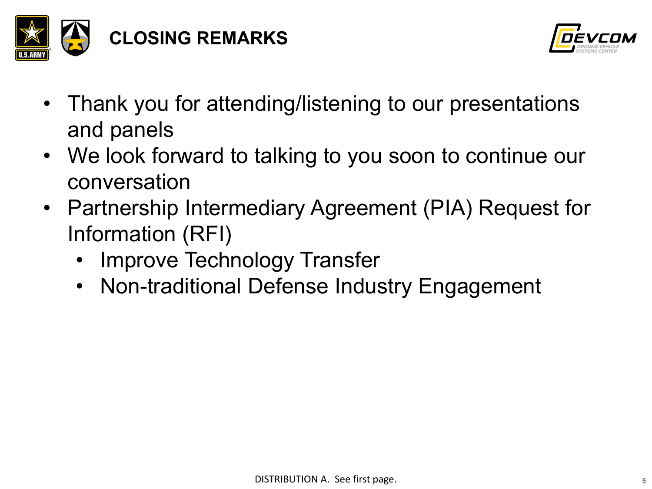



- Thank you for attending/listening to our presentations and panels
- We look forward to talking to you soon to continue our conversation
- Partnership Intermediary Agreement (PIA) Request for Information (RFI)
	- **Improve Technology Transfer**
	- Non-traditional Defense Industry Engagement